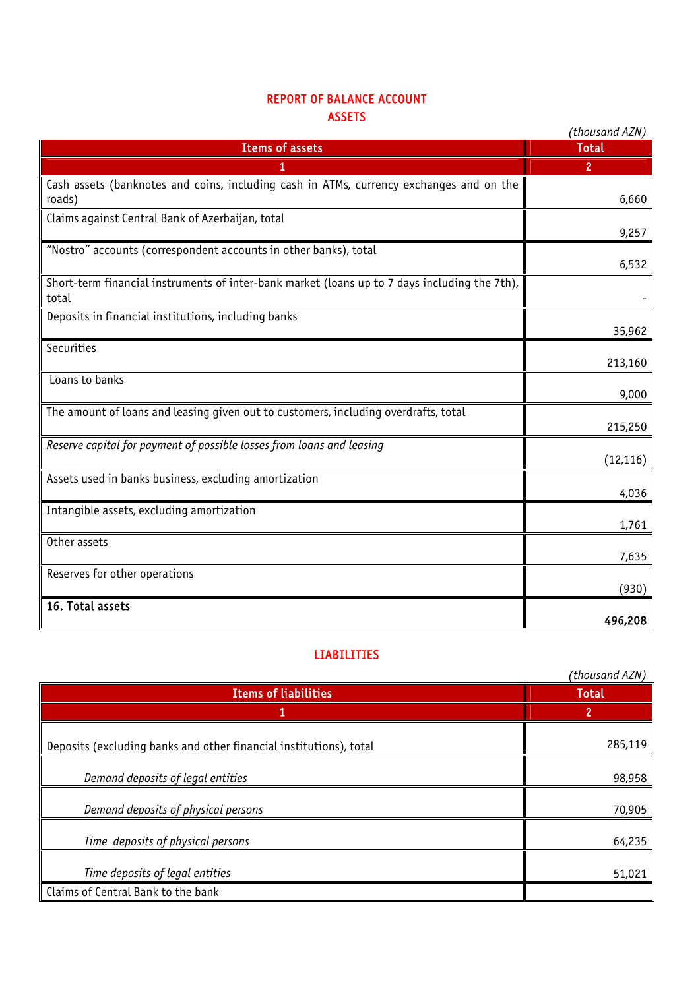## REPORT OF BALANCE ACCOUNT ASSETS

| njjl 1 ј                                                                                               | (thousand AZN) |
|--------------------------------------------------------------------------------------------------------|----------------|
| <b>Items of assets</b>                                                                                 | <b>Total</b>   |
|                                                                                                        | $\overline{2}$ |
| Cash assets (banknotes and coins, including cash in ATMs, currency exchanges and on the<br>roads)      | 6,660          |
| Claims against Central Bank of Azerbaijan, total                                                       | 9,257          |
| "Nostro" accounts (correspondent accounts in other banks), total                                       | 6,532          |
| Short-term financial instruments of inter-bank market (loans up to 7 days including the 7th),<br>total |                |
| Deposits in financial institutions, including banks                                                    | 35,962         |
| Securities                                                                                             | 213,160        |
| Loans to banks                                                                                         | 9,000          |
| The amount of loans and leasing given out to customers, including overdrafts, total                    | 215,250        |
| Reserve capital for payment of possible losses from loans and leasing                                  | (12, 116)      |
| Assets used in banks business, excluding amortization                                                  | 4,036          |
| Intangible assets, excluding amortization                                                              | 1,761          |
| Other assets                                                                                           | 7,635          |
| Reserves for other operations                                                                          | (930)          |
| 16. Total assets                                                                                       | 496,208        |

## LIABILITIES

|                                                                    | (thousand AZN) |
|--------------------------------------------------------------------|----------------|
| <b>Items of liabilities</b>                                        | <b>Total</b>   |
|                                                                    | 2              |
| Deposits (excluding banks and other financial institutions), total | 285,119        |
| Demand deposits of legal entities                                  | 98,958         |
| Demand deposits of physical persons                                | 70,905         |
| Time deposits of physical persons                                  | 64,235         |
| Time deposits of legal entities                                    | 51,021         |
| Claims of Central Bank to the bank                                 |                |